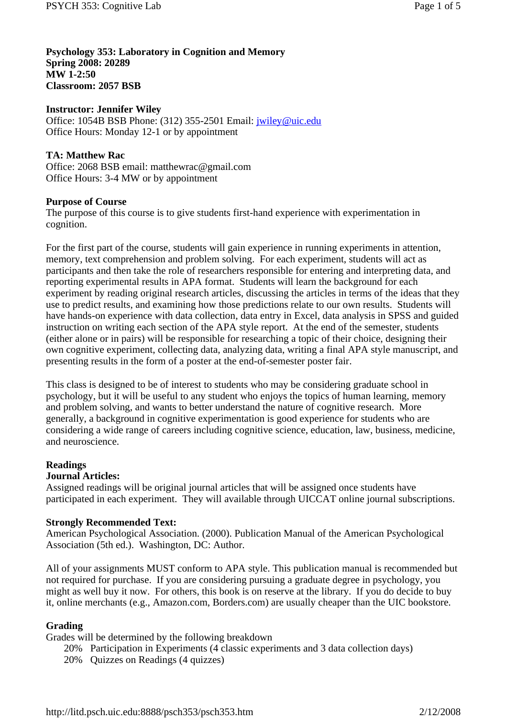**Psychology 353: Laboratory in Cognition and Memory Spring 2008: 20289 MW 1-2:50 Classroom: 2057 BSB**

## **Instructor: Jennifer Wiley**

Office: 1054B BSB Phone: (312) 355-2501 Email: jwiley@uic.edu Office Hours: Monday 12-1 or by appointment

## **TA: Matthew Rac**

Office: 2068 BSB email: matthewrac@gmail.com Office Hours: 3-4 MW or by appointment

### **Purpose of Course**

The purpose of this course is to give students first-hand experience with experimentation in cognition.

For the first part of the course, students will gain experience in running experiments in attention, memory, text comprehension and problem solving. For each experiment, students will act as participants and then take the role of researchers responsible for entering and interpreting data, and reporting experimental results in APA format. Students will learn the background for each experiment by reading original research articles, discussing the articles in terms of the ideas that they use to predict results, and examining how those predictions relate to our own results. Students will have hands-on experience with data collection, data entry in Excel, data analysis in SPSS and guided instruction on writing each section of the APA style report. At the end of the semester, students (either alone or in pairs) will be responsible for researching a topic of their choice, designing their own cognitive experiment, collecting data, analyzing data, writing a final APA style manuscript, and presenting results in the form of a poster at the end-of-semester poster fair.

This class is designed to be of interest to students who may be considering graduate school in psychology, but it will be useful to any student who enjoys the topics of human learning, memory and problem solving, and wants to better understand the nature of cognitive research. More generally, a background in cognitive experimentation is good experience for students who are considering a wide range of careers including cognitive science, education, law, business, medicine, and neuroscience.

## **Readings**

### **Journal Articles:**

Assigned readings will be original journal articles that will be assigned once students have participated in each experiment. They will available through UICCAT online journal subscriptions.

### **Strongly Recommended Text:**

American Psychological Association. (2000). Publication Manual of the American Psychological Association (5th ed.). Washington, DC: Author.

All of your assignments MUST conform to APA style. This publication manual is recommended but not required for purchase. If you are considering pursuing a graduate degree in psychology, you might as well buy it now. For others, this book is on reserve at the library. If you do decide to buy it, online merchants (e.g., Amazon.com, Borders.com) are usually cheaper than the UIC bookstore.

### **Grading**

Grades will be determined by the following breakdown

- 20% Participation in Experiments (4 classic experiments and 3 data collection days)
- 20% Quizzes on Readings (4 quizzes)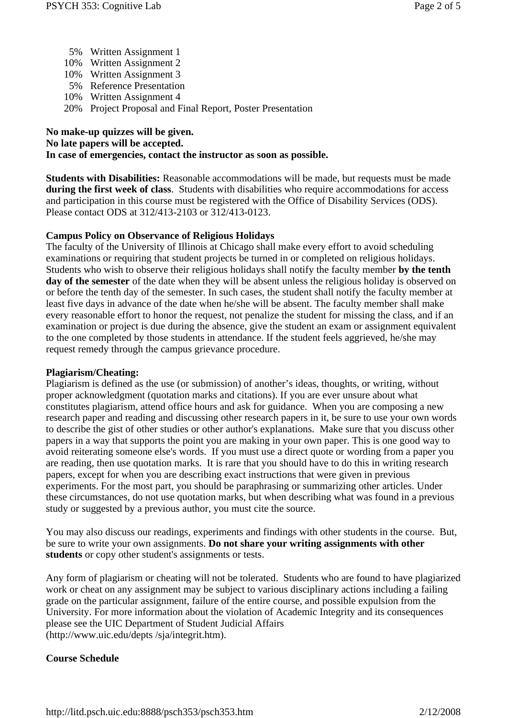- 5% Written Assignment 1
- 10% Written Assignment 2
- 10% Written Assignment 3
- 5% Reference Presentation
- 10% Written Assignment 4
- 20% Project Proposal and Final Report, Poster Presentation

# **No make-up quizzes will be given.**

## **No late papers will be accepted.**

## **In case of emergencies, contact the instructor as soon as possible.**

**Students with Disabilities:** Reasonable accommodations will be made, but requests must be made **during the first week of class**. Students with disabilities who require accommodations for access and participation in this course must be registered with the Office of Disability Services (ODS). Please contact ODS at 312/413-2103 or 312/413-0123.

## **Campus Policy on Observance of Religious Holidays**

The faculty of the University of Illinois at Chicago shall make every effort to avoid scheduling examinations or requiring that student projects be turned in or completed on religious holidays. Students who wish to observe their religious holidays shall notify the faculty member **by the tenth day of the semester** of the date when they will be absent unless the religious holiday is observed on or before the tenth day of the semester. In such cases, the student shall notify the faculty member at least five days in advance of the date when he/she will be absent. The faculty member shall make every reasonable effort to honor the request, not penalize the student for missing the class, and if an examination or project is due during the absence, give the student an exam or assignment equivalent to the one completed by those students in attendance. If the student feels aggrieved, he/she may request remedy through the campus grievance procedure.

## **Plagiarism/Cheating:**

Plagiarism is defined as the use (or submission) of another's ideas, thoughts, or writing, without proper acknowledgment (quotation marks and citations). If you are ever unsure about what constitutes plagiarism, attend office hours and ask for guidance. When you are composing a new research paper and reading and discussing other research papers in it, be sure to use your own words to describe the gist of other studies or other author's explanations. Make sure that you discuss other papers in a way that supports the point you are making in your own paper. This is one good way to avoid reiterating someone else's words. If you must use a direct quote or wording from a paper you are reading, then use quotation marks. It is rare that you should have to do this in writing research papers, except for when you are describing exact instructions that were given in previous experiments. For the most part, you should be paraphrasing or summarizing other articles. Under these circumstances, do not use quotation marks, but when describing what was found in a previous study or suggested by a previous author, you must cite the source.

You may also discuss our readings, experiments and findings with other students in the course. But, be sure to write your own assignments. **Do not share your writing assignments with other students** or copy other student's assignments or tests.

Any form of plagiarism or cheating will not be tolerated. Students who are found to have plagiarized work or cheat on any assignment may be subject to various disciplinary actions including a failing grade on the particular assignment, failure of the entire course, and possible expulsion from the University. For more information about the violation of Academic Integrity and its consequences please see the UIC Department of Student Judicial Affairs (http://www.uic.edu/depts /sja/integrit.htm).

# **Course Schedule**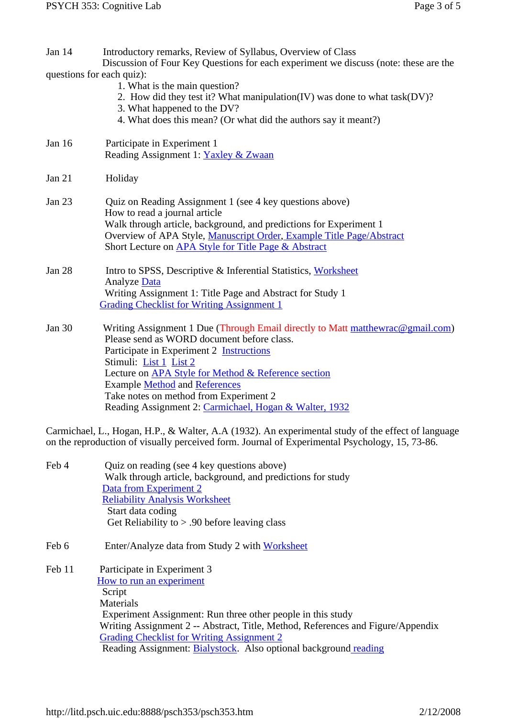| Jan $14$<br>questions for each quiz): | Introductory remarks, Review of Syllabus, Overview of Class<br>Discussion of Four Key Questions for each experiment we discuss (note: these are the<br>1. What is the main question?<br>2. How did they test it? What manipulation(IV) was done to what task(DV)?<br>3. What happened to the DV?<br>4. What does this mean? (Or what did the authors say it meant?)                                          |
|---------------------------------------|--------------------------------------------------------------------------------------------------------------------------------------------------------------------------------------------------------------------------------------------------------------------------------------------------------------------------------------------------------------------------------------------------------------|
| Jan 16                                | Participate in Experiment 1<br>Reading Assignment 1: Yaxley & Zwaan                                                                                                                                                                                                                                                                                                                                          |
| Jan 21                                | Holiday                                                                                                                                                                                                                                                                                                                                                                                                      |
| Jan 23                                | Quiz on Reading Assignment 1 (see 4 key questions above)<br>How to read a journal article<br>Walk through article, background, and predictions for Experiment 1<br>Overview of APA Style, Manuscript Order, Example Title Page/Abstract<br>Short Lecture on APA Style for Title Page & Abstract                                                                                                              |
| Jan 28                                | Intro to SPSS, Descriptive & Inferential Statistics, Worksheet<br>Analyze Data<br>Writing Assignment 1: Title Page and Abstract for Study 1<br><b>Grading Checklist for Writing Assignment 1</b>                                                                                                                                                                                                             |
| Jan 30                                | Writing Assignment 1 Due (Through Email directly to Matt matthewrac@gmail.com)<br>Please send as WORD document before class.<br>Participate in Experiment 2 <b>Instructions</b><br>Stimuli: List 1 List 2<br>Lecture on APA Style for Method & Reference section<br><b>Example Method and References</b><br>Take notes on method from Experiment 2<br>Reading Assignment 2: Carmichael, Hogan & Walter, 1932 |

Carmichael, L., Hogan, H.P., & Walter, A.A (1932). An experimental study of the effect of language on the reproduction of visually perceived form. Journal of Experimental Psychology, 15, 73-86.

| Feb 4  | Quiz on reading (see 4 key questions above)                                     |
|--------|---------------------------------------------------------------------------------|
|        | Walk through article, background, and predictions for study                     |
|        | Data from Experiment 2                                                          |
|        | <b>Reliability Analysis Worksheet</b>                                           |
|        | Start data coding                                                               |
|        | Get Reliability to $> .90$ before leaving class                                 |
| Feb 6  | Enter/Analyze data from Study 2 with Worksheet                                  |
| Feb 11 | Participate in Experiment 3                                                     |
|        | How to run an experiment                                                        |
|        | Script                                                                          |
|        | Materials                                                                       |
|        | Experiment Assignment: Run three other people in this study                     |
|        | Writing Assignment 2 -- Abstract, Title, Method, References and Figure/Appendix |
|        | <b>Grading Checklist for Writing Assignment 2</b>                               |
|        | Reading Assignment: Bialystock. Also optional background reading                |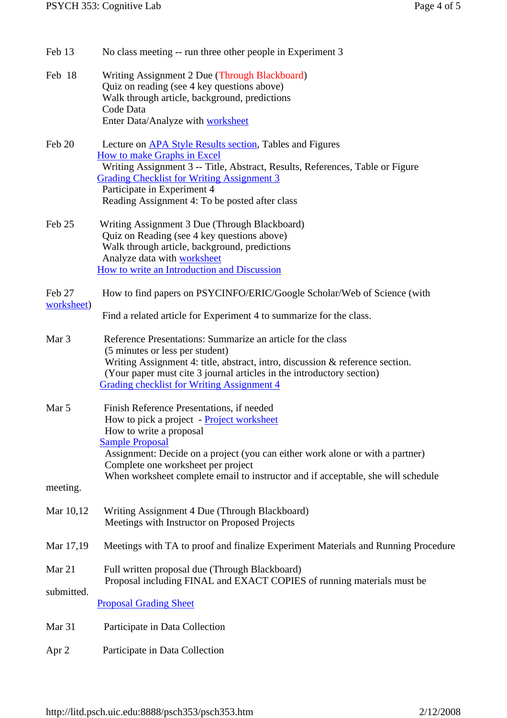| Feb 13               | No class meeting -- run three other people in Experiment 3                                                                                                                                                                                                                                                                                             |
|----------------------|--------------------------------------------------------------------------------------------------------------------------------------------------------------------------------------------------------------------------------------------------------------------------------------------------------------------------------------------------------|
| Feb 18               | Writing Assignment 2 Due (Through Blackboard)<br>Quiz on reading (see 4 key questions above)<br>Walk through article, background, predictions<br>Code Data<br>Enter Data/Analyze with worksheet                                                                                                                                                        |
| Feb 20               | Lecture on <b>APA Style Results section</b> , Tables and Figures<br><b>How to make Graphs in Excel</b><br>Writing Assignment 3 -- Title, Abstract, Results, References, Table or Figure<br><b>Grading Checklist for Writing Assignment 3</b><br>Participate in Experiment 4<br>Reading Assignment 4: To be posted after class                          |
| Feb 25               | Writing Assignment 3 Due (Through Blackboard)<br>Quiz on Reading (see 4 key questions above)<br>Walk through article, background, predictions<br>Analyze data with worksheet<br>How to write an Introduction and Discussion                                                                                                                            |
| Feb 27<br>worksheet) | How to find papers on PSYCINFO/ERIC/Google Scholar/Web of Science (with<br>Find a related article for Experiment 4 to summarize for the class.                                                                                                                                                                                                         |
| Mar <sub>3</sub>     | Reference Presentations: Summarize an article for the class<br>(5 minutes or less per student)<br>Writing Assignment 4: title, abstract, intro, discussion & reference section.<br>(Your paper must cite 3 journal articles in the introductory section)<br><b>Grading checklist for Writing Assignment 4</b>                                          |
| Mar 5<br>meeting.    | Finish Reference Presentations, if needed<br>How to pick a project - Project worksheet<br>How to write a proposal<br><b>Sample Proposal</b><br>Assignment: Decide on a project (you can either work alone or with a partner)<br>Complete one worksheet per project<br>When worksheet complete email to instructor and if acceptable, she will schedule |
| Mar 10,12            | Writing Assignment 4 Due (Through Blackboard)<br>Meetings with Instructor on Proposed Projects                                                                                                                                                                                                                                                         |
| Mar 17,19            | Meetings with TA to proof and finalize Experiment Materials and Running Procedure                                                                                                                                                                                                                                                                      |
| Mar 21<br>submitted. | Full written proposal due (Through Blackboard)<br>Proposal including FINAL and EXACT COPIES of running materials must be<br><b>Proposal Grading Sheet</b>                                                                                                                                                                                              |
| Mar 31               | Participate in Data Collection                                                                                                                                                                                                                                                                                                                         |

Apr 2 Participate in Data Collection